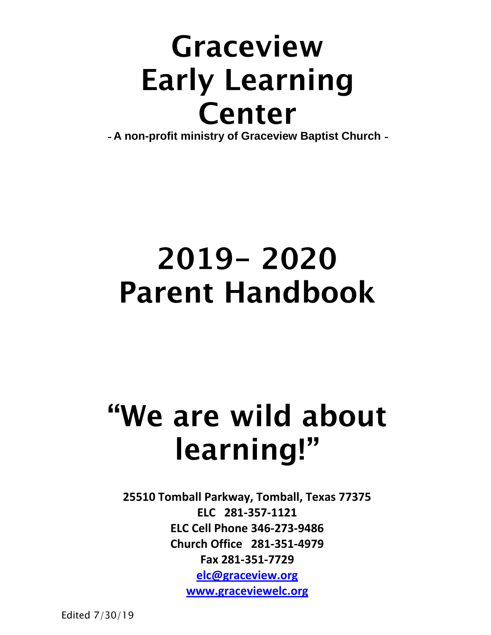## Graceview **Early Learning** Center

*-* **A non-profit ministry of Graceview Baptist Church** *-* 

## 2019 - 2020 **Parent Handbook**

# "We are wild about learning!"

**25510 Tomball Parkway, Tomball, Texas 77375 ELC 281-357-1121 ELC Cell Phone 346-273-9486 Church Office 281-351-4979 Fax 281-351-7729 [elc@graceview.org](mailto:elc@graceview.org)**

**[www.graceviewelc.org](http://www.graceviewelc.org/)**

Edited 7/30/19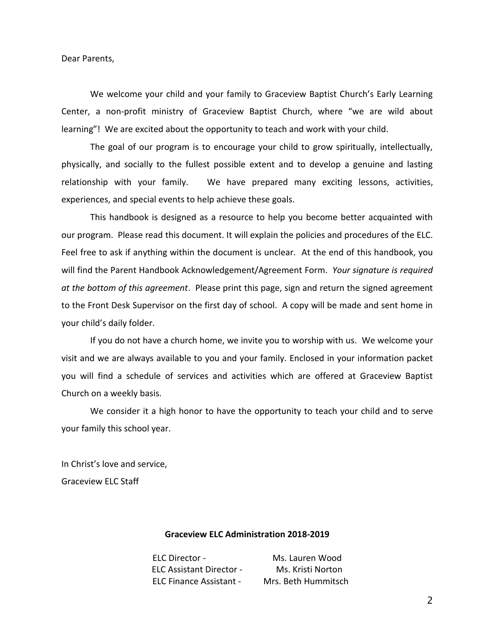Dear Parents,

We welcome your child and your family to Graceview Baptist Church's Early Learning Center, a non-profit ministry of Graceview Baptist Church, where "we are wild about learning"! We are excited about the opportunity to teach and work with your child.

The goal of our program is to encourage your child to grow spiritually, intellectually, physically, and socially to the fullest possible extent and to develop a genuine and lasting relationship with your family. We have prepared many exciting lessons, activities, experiences, and special events to help achieve these goals.

This handbook is designed as a resource to help you become better acquainted with our program. Please read this document. It will explain the policies and procedures of the ELC. Feel free to ask if anything within the document is unclear. At the end of this handbook, you will find the Parent Handbook Acknowledgement/Agreement Form. *Your signature is required at the bottom of this agreement*. Please print this page, sign and return the signed agreement to the Front Desk Supervisor on the first day of school. A copy will be made and sent home in your child's daily folder.

If you do not have a church home, we invite you to worship with us. We welcome your visit and we are always available to you and your family. Enclosed in your information packet you will find a schedule of services and activities which are offered at Graceview Baptist Church on a weekly basis.

We consider it a high honor to have the opportunity to teach your child and to serve your family this school year.

In Christ's love and service, Graceview ELC Staff

#### **Graceview ELC Administration 2018-2019**

ELC Director - Ms. Lauren Wood ELC Assistant Director - Ms. Kristi Norton ELC Finance Assistant - Mrs. Beth Hummitsch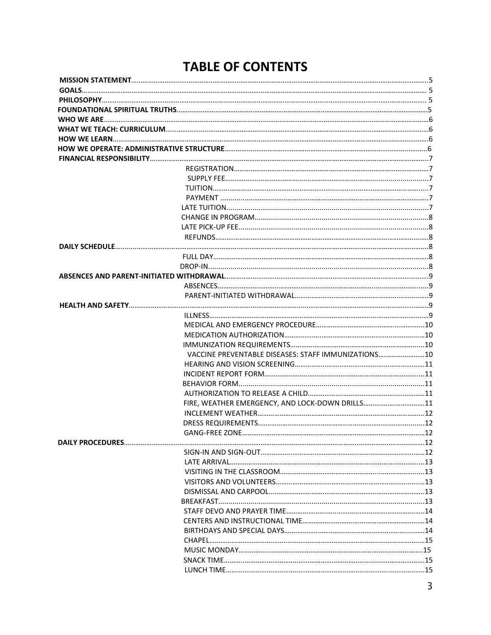### **TABLE OF CONTENTS**

| VACCINE PREVENTABLE DISEASES: STAFF IMMUNIZATIONS 10 |  |
|------------------------------------------------------|--|
|                                                      |  |
|                                                      |  |
|                                                      |  |
|                                                      |  |
| FIRE, WEATHER EMERGENCY, AND LOCK-DOWN DRILLS11      |  |
|                                                      |  |
|                                                      |  |
|                                                      |  |
|                                                      |  |
|                                                      |  |
|                                                      |  |
|                                                      |  |
|                                                      |  |
|                                                      |  |
|                                                      |  |
|                                                      |  |
|                                                      |  |
|                                                      |  |
|                                                      |  |
|                                                      |  |
|                                                      |  |
|                                                      |  |
|                                                      |  |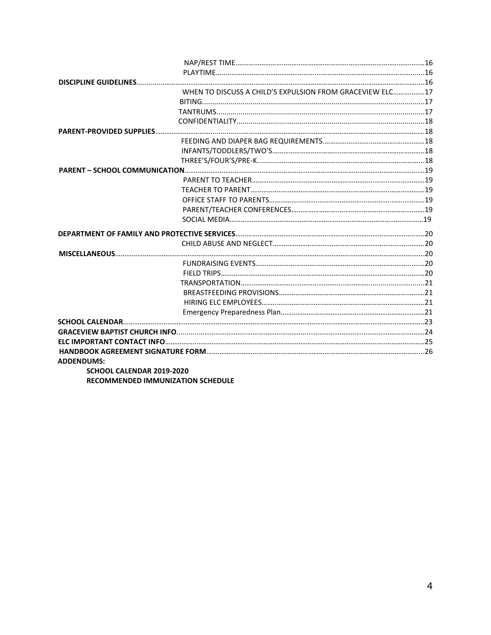|                           | WHEN TO DISCUSS A CHILD'S EXPULSION FROM GRACEVIEW ELC17 |  |
|---------------------------|----------------------------------------------------------|--|
|                           |                                                          |  |
|                           |                                                          |  |
|                           |                                                          |  |
|                           |                                                          |  |
|                           |                                                          |  |
|                           |                                                          |  |
|                           |                                                          |  |
|                           |                                                          |  |
|                           |                                                          |  |
|                           |                                                          |  |
|                           |                                                          |  |
|                           |                                                          |  |
|                           |                                                          |  |
|                           |                                                          |  |
|                           |                                                          |  |
|                           |                                                          |  |
|                           |                                                          |  |
|                           |                                                          |  |
|                           |                                                          |  |
|                           |                                                          |  |
|                           |                                                          |  |
|                           |                                                          |  |
|                           |                                                          |  |
|                           |                                                          |  |
|                           |                                                          |  |
|                           |                                                          |  |
| <b>ADDENDUMS:</b>         |                                                          |  |
| SCHOOL CALENDAR 2019-2020 |                                                          |  |
|                           | <b>RECOMMENDED IMMUNIZATION SCHEDULE</b>                 |  |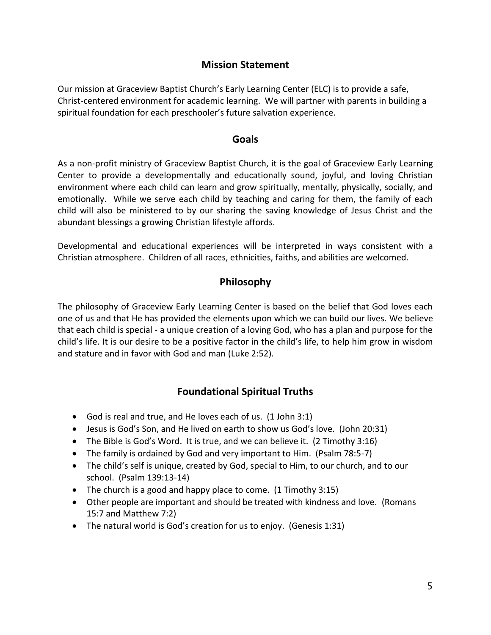#### **Mission Statement**

Our mission at Graceview Baptist Church's Early Learning Center (ELC) is to provide a safe, Christ-centered environment for academic learning. We will partner with parents in building a spiritual foundation for each preschooler's future salvation experience.

#### **Goals**

As a non-profit ministry of Graceview Baptist Church, it is the goal of Graceview Early Learning Center to provide a developmentally and educationally sound, joyful, and loving Christian environment where each child can learn and grow spiritually, mentally, physically, socially, and emotionally. While we serve each child by teaching and caring for them, the family of each child will also be ministered to by our sharing the saving knowledge of Jesus Christ and the abundant blessings a growing Christian lifestyle affords.

Developmental and educational experiences will be interpreted in ways consistent with a Christian atmosphere. Children of all races, ethnicities, faiths, and abilities are welcomed.

#### **Philosophy**

The philosophy of Graceview Early Learning Center is based on the belief that God loves each one of us and that He has provided the elements upon which we can build our lives. We believe that each child is special - a unique creation of a loving God, who has a plan and purpose for the child's life. It is our desire to be a positive factor in the child's life, to help him grow in wisdom and stature and in favor with God and man (Luke 2:52).

#### **Foundational Spiritual Truths**

- God is real and true, and He loves each of us. (1 John 3:1)
- Jesus is God's Son, and He lived on earth to show us God's love. (John 20:31)
- The Bible is God's Word. It is true, and we can believe it. (2 Timothy 3:16)
- The family is ordained by God and very important to Him. (Psalm 78:5-7)
- The child's self is unique, created by God, special to Him, to our church, and to our school. (Psalm 139:13-14)
- $\bullet$  The church is a good and happy place to come. (1 Timothy 3:15)
- Other people are important and should be treated with kindness and love. (Romans 15:7 and Matthew 7:2)
- The natural world is God's creation for us to enjoy. (Genesis 1:31)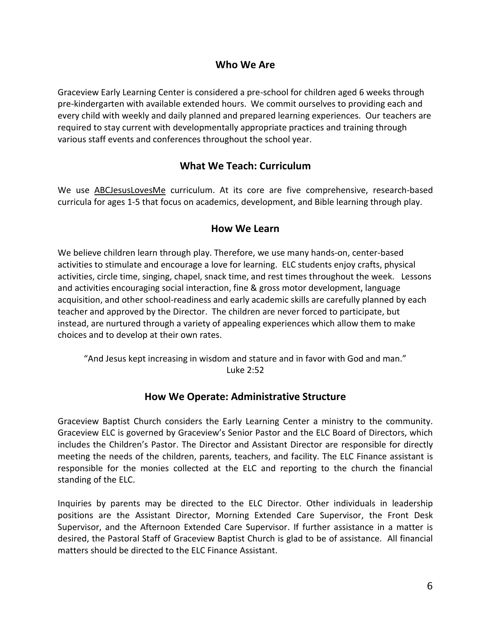#### **Who We Are**

Graceview Early Learning Center is considered a pre-school for children aged 6 weeks through pre-kindergarten with available extended hours. We commit ourselves to providing each and every child with weekly and daily planned and prepared learning experiences. Our teachers are required to stay current with developmentally appropriate practices and training through various staff events and conferences throughout the school year.

#### **What We Teach: Curriculum**

We use ABCJesusLovesMe curriculum. At its core are five comprehensive, research-based curricula for ages 1-5 that focus on academics, development, and Bible learning through play.

#### **How We Learn**

We believe children learn through play. Therefore, we use many hands-on, center-based activities to stimulate and encourage a love for learning. ELC students enjoy crafts, physical activities, circle time, singing, chapel, snack time, and rest times throughout the week. Lessons and activities encouraging social interaction, fine & gross motor development, language acquisition, and other school-readiness and early academic skills are carefully planned by each teacher and approved by the Director. The children are never forced to participate, but instead, are nurtured through a variety of appealing experiences which allow them to make choices and to develop at their own rates.

"And Jesus kept increasing in wisdom and stature and in favor with God and man." Luke 2:52

#### **How We Operate: Administrative Structure**

Graceview Baptist Church considers the Early Learning Center a ministry to the community. Graceview ELC is governed by Graceview's Senior Pastor and the ELC Board of Directors, which includes the Children's Pastor. The Director and Assistant Director are responsible for directly meeting the needs of the children, parents, teachers, and facility. The ELC Finance assistant is responsible for the monies collected at the ELC and reporting to the church the financial standing of the ELC.

Inquiries by parents may be directed to the ELC Director. Other individuals in leadership positions are the Assistant Director, Morning Extended Care Supervisor, the Front Desk Supervisor, and the Afternoon Extended Care Supervisor. If further assistance in a matter is desired, the Pastoral Staff of Graceview Baptist Church is glad to be of assistance. All financial matters should be directed to the ELC Finance Assistant.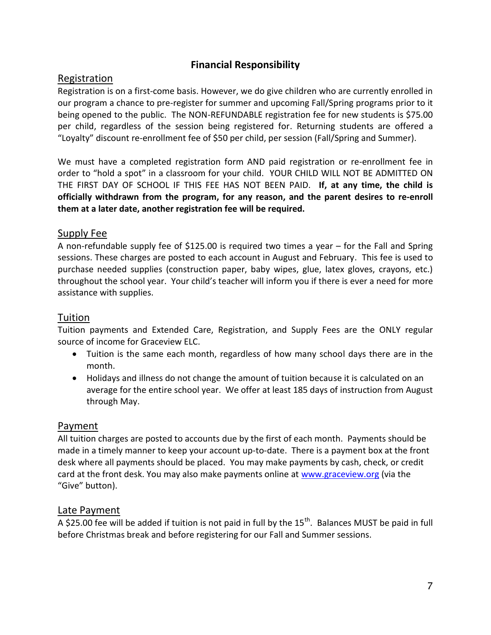#### **Financial Responsibility**

#### Registration

Registration is on a first-come basis. However, we do give children who are currently enrolled in our program a chance to pre-register for summer and upcoming Fall/Spring programs prior to it being opened to the public. The NON-REFUNDABLE registration fee for new students is \$75.00 per child, regardless of the session being registered for. Returning students are offered a "Loyalty" discount re-enrollment fee of \$50 per child, per session (Fall/Spring and Summer).

We must have a completed registration form AND paid registration or re-enrollment fee in order to "hold a spot" in a classroom for your child. YOUR CHILD WILL NOT BE ADMITTED ON THE FIRST DAY OF SCHOOL IF THIS FEE HAS NOT BEEN PAID. **If, at any time, the child is officially withdrawn from the program, for any reason, and the parent desires to re-enroll them at a later date, another registration fee will be required.**

#### Supply Fee

A non-refundable supply fee of \$125.00 is required two times a year – for the Fall and Spring sessions. These charges are posted to each account in August and February. This fee is used to purchase needed supplies (construction paper, baby wipes, glue, latex gloves, crayons, etc.) throughout the school year. Your child's teacher will inform you if there is ever a need for more assistance with supplies.

#### Tuition

Tuition payments and Extended Care, Registration, and Supply Fees are the ONLY regular source of income for Graceview ELC.

- Tuition is the same each month, regardless of how many school days there are in the month.
- Holidays and illness do not change the amount of tuition because it is calculated on an average for the entire school year. We offer at least 185 days of instruction from August through May.

#### Payment

All tuition charges are posted to accounts due by the first of each month. Payments should be made in a timely manner to keep your account up-to-date. There is a payment box at the front desk where all payments should be placed. You may make payments by cash, check, or credit card at the front desk. You may also make payments online at [www.graceview.org](http://www.graceview.org/) (via the "Give" button).

#### Late Payment

A \$25.00 fee will be added if tuition is not paid in full by the 15<sup>th</sup>. Balances MUST be paid in full before Christmas break and before registering for our Fall and Summer sessions.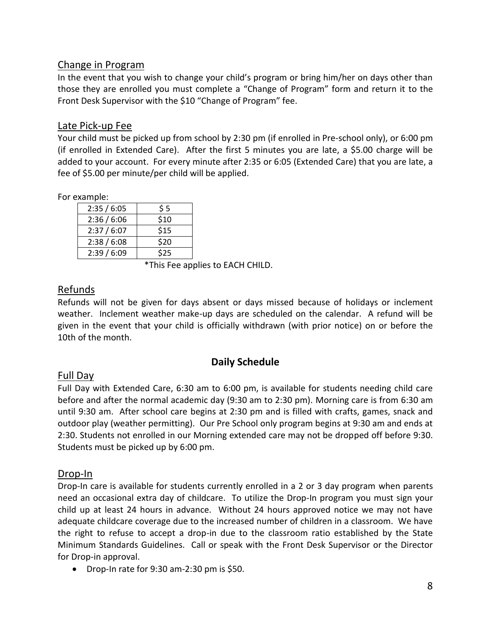#### Change in Program

In the event that you wish to change your child's program or bring him/her on days other than those they are enrolled you must complete a "Change of Program" form and return it to the Front Desk Supervisor with the \$10 "Change of Program" fee.

#### Late Pick-up Fee

Your child must be picked up from school by 2:30 pm (if enrolled in Pre-school only), or 6:00 pm (if enrolled in Extended Care). After the first 5 minutes you are late, a \$5.00 charge will be added to your account. For every minute after 2:35 or 6:05 (Extended Care) that you are late, a fee of \$5.00 per minute/per child will be applied.

For example:

| 2:35/6:05 | \$5  |
|-----------|------|
| 2:36/6:06 | \$10 |
| 2:37/6:07 | \$15 |
| 2:38/6:08 | \$20 |
| 2:39/6:09 | \$25 |

\*This Fee applies to EACH CHILD.

#### Refunds

Refunds will not be given for days absent or days missed because of holidays or inclement weather. Inclement weather make-up days are scheduled on the calendar. A refund will be given in the event that your child is officially withdrawn (with prior notice) on or before the 10th of the month.

#### **Daily Schedule**

#### Full Day

Full Day with Extended Care, 6:30 am to 6:00 pm, is available for students needing child care before and after the normal academic day (9:30 am to 2:30 pm). Morning care is from 6:30 am until 9:30 am. After school care begins at 2:30 pm and is filled with crafts, games, snack and outdoor play (weather permitting). Our Pre School only program begins at 9:30 am and ends at 2:30. Students not enrolled in our Morning extended care may not be dropped off before 9:30. Students must be picked up by 6:00 pm.

#### Drop-In

Drop-In care is available for students currently enrolled in a 2 or 3 day program when parents need an occasional extra day of childcare. To utilize the Drop-In program you must sign your child up at least 24 hours in advance. Without 24 hours approved notice we may not have adequate childcare coverage due to the increased number of children in a classroom. We have the right to refuse to accept a drop-in due to the classroom ratio established by the State Minimum Standards Guidelines. Call or speak with the Front Desk Supervisor or the Director for Drop-in approval.

• Drop-In rate for  $9:30$  am-2:30 pm is \$50.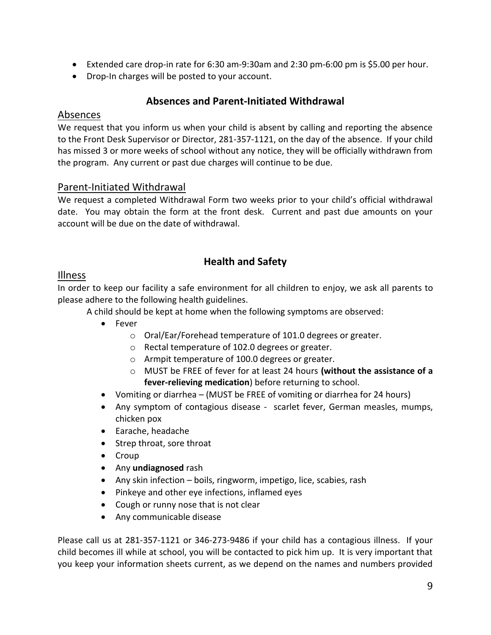- Extended care drop-in rate for 6:30 am-9:30am and 2:30 pm-6:00 pm is \$5.00 per hour.
- Drop-In charges will be posted to your account.

#### **Absences and Parent-Initiated Withdrawal**

#### Absences

We request that you inform us when your child is absent by calling and reporting the absence to the Front Desk Supervisor or Director, 281-357-1121, on the day of the absence. If your child has missed 3 or more weeks of school without any notice, they will be officially withdrawn from the program. Any current or past due charges will continue to be due.

#### Parent-Initiated Withdrawal

We request a completed Withdrawal Form two weeks prior to your child's official withdrawal date. You may obtain the form at the front desk. Current and past due amounts on your account will be due on the date of withdrawal.

#### **Health and Safety**

#### Illness

In order to keep our facility a safe environment for all children to enjoy, we ask all parents to please adhere to the following health guidelines.

A child should be kept at home when the following symptoms are observed:

- Fever
	- o Oral/Ear/Forehead temperature of 101.0 degrees or greater.
	- o Rectal temperature of 102.0 degrees or greater.
	- o Armpit temperature of 100.0 degrees or greater.
	- o MUST be FREE of fever for at least 24 hours **(without the assistance of a fever-relieving medication**) before returning to school.
- Vomiting or diarrhea (MUST be FREE of vomiting or diarrhea for 24 hours)
- Any symptom of contagious disease scarlet fever, German measles, mumps, chicken pox
- Earache, headache
- Strep throat, sore throat
- Croup
- Any **undiagnosed** rash
- Any skin infection boils, ringworm, impetigo, lice, scabies, rash
- Pinkeye and other eye infections, inflamed eyes
- Cough or runny nose that is not clear
- Any communicable disease

Please call us at 281-357-1121 or 346-273-9486 if your child has a contagious illness. If your child becomes ill while at school, you will be contacted to pick him up. It is very important that you keep your information sheets current, as we depend on the names and numbers provided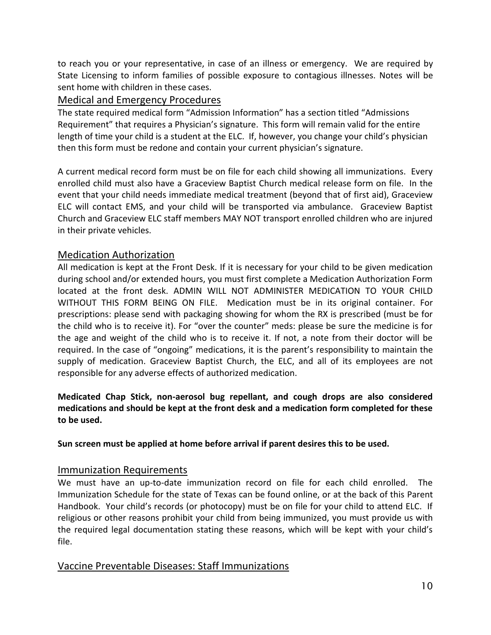to reach you or your representative, in case of an illness or emergency. We are required by State Licensing to inform families of possible exposure to contagious illnesses. Notes will be sent home with children in these cases.

#### Medical and Emergency Procedures

The state required medical form "Admission Information" has a section titled "Admissions Requirement" that requires a Physician's signature. This form will remain valid for the entire length of time your child is a student at the ELC. If, however, you change your child's physician then this form must be redone and contain your current physician's signature.

A current medical record form must be on file for each child showing all immunizations. Every enrolled child must also have a Graceview Baptist Church medical release form on file. In the event that your child needs immediate medical treatment (beyond that of first aid), Graceview ELC will contact EMS, and your child will be transported via ambulance. Graceview Baptist Church and Graceview ELC staff members MAY NOT transport enrolled children who are injured in their private vehicles.

#### Medication Authorization

All medication is kept at the Front Desk. If it is necessary for your child to be given medication during school and/or extended hours, you must first complete a Medication Authorization Form located at the front desk. ADMIN WILL NOT ADMINISTER MEDICATION TO YOUR CHILD WITHOUT THIS FORM BEING ON FILE. Medication must be in its original container. For prescriptions: please send with packaging showing for whom the RX is prescribed (must be for the child who is to receive it). For "over the counter" meds: please be sure the medicine is for the age and weight of the child who is to receive it. If not, a note from their doctor will be required. In the case of "ongoing" medications, it is the parent's responsibility to maintain the supply of medication. Graceview Baptist Church, the ELC, and all of its employees are not responsible for any adverse effects of authorized medication.

#### **Medicated Chap Stick, non-aerosol bug repellant, and cough drops are also considered medications and should be kept at the front desk and a medication form completed for these to be used.**

#### **Sun screen must be applied at home before arrival if parent desires this to be used.**

#### Immunization Requirements

We must have an up-to-date immunization record on file for each child enrolled. The Immunization Schedule for the state of Texas can be found online, or at the back of this Parent Handbook. Your child's records (or photocopy) must be on file for your child to attend ELC. If religious or other reasons prohibit your child from being immunized, you must provide us with the required legal documentation stating these reasons, which will be kept with your child's file.

#### Vaccine Preventable Diseases: Staff Immunizations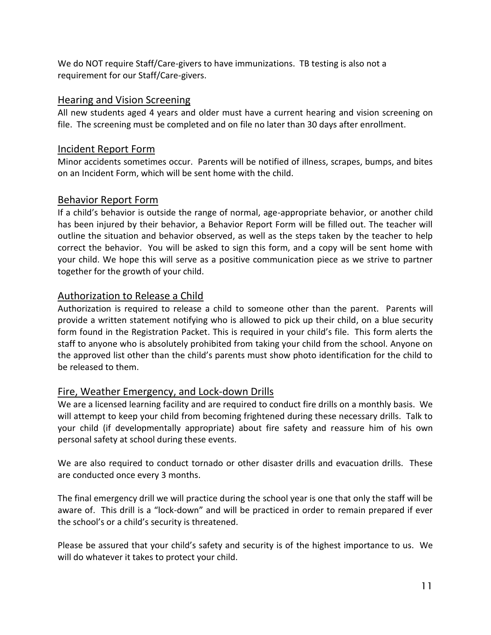We do NOT require Staff/Care-givers to have immunizations. TB testing is also not a requirement for our Staff/Care-givers.

#### Hearing and Vision Screening

All new students aged 4 years and older must have a current hearing and vision screening on file. The screening must be completed and on file no later than 30 days after enrollment.

#### Incident Report Form

Minor accidents sometimes occur. Parents will be notified of illness, scrapes, bumps, and bites on an Incident Form, which will be sent home with the child.

#### Behavior Report Form

If a child's behavior is outside the range of normal, age-appropriate behavior, or another child has been injured by their behavior, a Behavior Report Form will be filled out. The teacher will outline the situation and behavior observed, as well as the steps taken by the teacher to help correct the behavior. You will be asked to sign this form, and a copy will be sent home with your child. We hope this will serve as a positive communication piece as we strive to partner together for the growth of your child.

#### Authorization to Release a Child

Authorization is required to release a child to someone other than the parent. Parents will provide a written statement notifying who is allowed to pick up their child, on a blue security form found in the Registration Packet. This is required in your child's file. This form alerts the staff to anyone who is absolutely prohibited from taking your child from the school. Anyone on the approved list other than the child's parents must show photo identification for the child to be released to them.

#### Fire, Weather Emergency, and Lock-down Drills

We are a licensed learning facility and are required to conduct fire drills on a monthly basis. We will attempt to keep your child from becoming frightened during these necessary drills. Talk to your child (if developmentally appropriate) about fire safety and reassure him of his own personal safety at school during these events.

We are also required to conduct tornado or other disaster drills and evacuation drills. These are conducted once every 3 months.

The final emergency drill we will practice during the school year is one that only the staff will be aware of. This drill is a "lock-down" and will be practiced in order to remain prepared if ever the school's or a child's security is threatened.

Please be assured that your child's safety and security is of the highest importance to us. We will do whatever it takes to protect your child.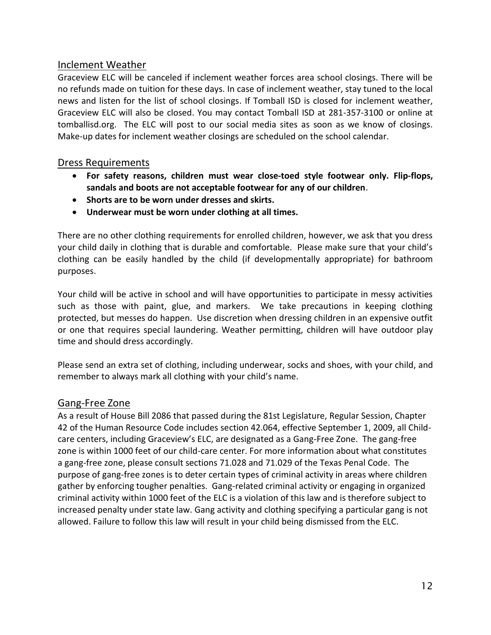#### Inclement Weather

Graceview ELC will be canceled if inclement weather forces area school closings. There will be no refunds made on tuition for these days. In case of inclement weather, stay tuned to the local news and listen for the list of school closings. If Tomball ISD is closed for inclement weather, Graceview ELC will also be closed. You may contact Tomball ISD at 281-357-3100 or online at tomballisd.org. The ELC will post to our social media sites as soon as we know of closings. Make-up dates for inclement weather closings are scheduled on the school calendar.

#### Dress Requirements

- **For safety reasons, children must wear close-toed style footwear only. Flip-flops, sandals and boots are not acceptable footwear for any of our children**.
- **Shorts are to be worn under dresses and skirts.**
- **Underwear must be worn under clothing at all times.**

There are no other clothing requirements for enrolled children, however, we ask that you dress your child daily in clothing that is durable and comfortable. Please make sure that your child's clothing can be easily handled by the child (if developmentally appropriate) for bathroom purposes.

Your child will be active in school and will have opportunities to participate in messy activities such as those with paint, glue, and markers. We take precautions in keeping clothing protected, but messes do happen. Use discretion when dressing children in an expensive outfit or one that requires special laundering. Weather permitting, children will have outdoor play time and should dress accordingly.

Please send an extra set of clothing, including underwear, socks and shoes, with your child, and remember to always mark all clothing with your child's name.

#### Gang-Free Zone

As a result of House Bill 2086 that passed during the 81st Legislature, Regular Session, Chapter 42 of the Human Resource Code includes section 42.064, effective September 1, 2009, all Childcare centers, including Graceview's ELC, are designated as a Gang-Free Zone. The gang-free zone is within 1000 feet of our child-care center. For more information about what constitutes a gang-free zone, please consult sections 71.028 and 71.029 of the Texas Penal Code. The purpose of gang-free zones is to deter certain types of criminal activity in areas where children gather by enforcing tougher penalties. Gang-related criminal activity or engaging in organized criminal activity within 1000 feet of the ELC is a violation of this law and is therefore subject to increased penalty under state law. Gang activity and clothing specifying a particular gang is not allowed. Failure to follow this law will result in your child being dismissed from the ELC.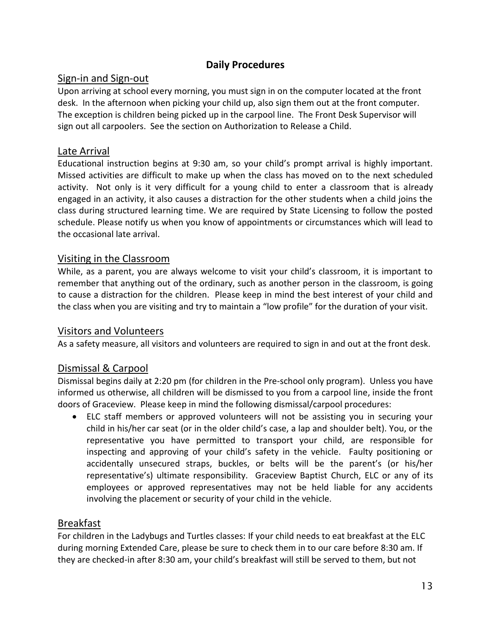#### **Daily Procedures**

#### Sign-in and Sign-out

Upon arriving at school every morning, you must sign in on the computer located at the front desk. In the afternoon when picking your child up, also sign them out at the front computer. The exception is children being picked up in the carpool line. The Front Desk Supervisor will sign out all carpoolers. See the section on Authorization to Release a Child.

#### Late Arrival

Educational instruction begins at 9:30 am, so your child's prompt arrival is highly important. Missed activities are difficult to make up when the class has moved on to the next scheduled activity. Not only is it very difficult for a young child to enter a classroom that is already engaged in an activity, it also causes a distraction for the other students when a child joins the class during structured learning time. We are required by State Licensing to follow the posted schedule. Please notify us when you know of appointments or circumstances which will lead to the occasional late arrival.

#### Visiting in the Classroom

While, as a parent, you are always welcome to visit your child's classroom, it is important to remember that anything out of the ordinary, such as another person in the classroom, is going to cause a distraction for the children. Please keep in mind the best interest of your child and the class when you are visiting and try to maintain a "low profile" for the duration of your visit.

#### Visitors and Volunteers

As a safety measure, all visitors and volunteers are required to sign in and out at the front desk.

#### Dismissal & Carpool

Dismissal begins daily at 2:20 pm (for children in the Pre-school only program). Unless you have informed us otherwise, all children will be dismissed to you from a carpool line, inside the front doors of Graceview. Please keep in mind the following dismissal/carpool procedures:

 ELC staff members or approved volunteers will not be assisting you in securing your child in his/her car seat (or in the older child's case, a lap and shoulder belt). You, or the representative you have permitted to transport your child, are responsible for inspecting and approving of your child's safety in the vehicle. Faulty positioning or accidentally unsecured straps, buckles, or belts will be the parent's (or his/her representative's) ultimate responsibility. Graceview Baptist Church, ELC or any of its employees or approved representatives may not be held liable for any accidents involving the placement or security of your child in the vehicle.

#### Breakfast

For children in the Ladybugs and Turtles classes: If your child needs to eat breakfast at the ELC during morning Extended Care, please be sure to check them in to our care before 8:30 am. If they are checked-in after 8:30 am, your child's breakfast will still be served to them, but not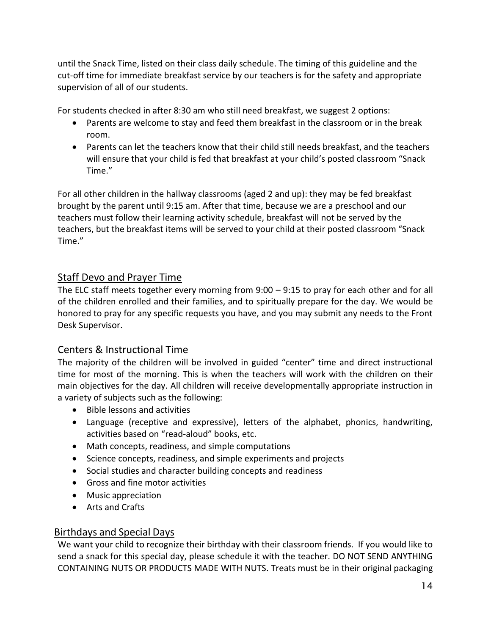until the Snack Time, listed on their class daily schedule. The timing of this guideline and the cut-off time for immediate breakfast service by our teachers is for the safety and appropriate supervision of all of our students.

For students checked in after 8:30 am who still need breakfast, we suggest 2 options:

- Parents are welcome to stay and feed them breakfast in the classroom or in the break room.
- Parents can let the teachers know that their child still needs breakfast, and the teachers will ensure that your child is fed that breakfast at your child's posted classroom "Snack Time."

For all other children in the hallway classrooms (aged 2 and up): they may be fed breakfast brought by the parent until 9:15 am. After that time, because we are a preschool and our teachers must follow their learning activity schedule, breakfast will not be served by the teachers, but the breakfast items will be served to your child at their posted classroom "Snack Time."

#### Staff Devo and Prayer Time

The ELC staff meets together every morning from  $9:00 - 9:15$  to pray for each other and for all of the children enrolled and their families, and to spiritually prepare for the day. We would be honored to pray for any specific requests you have, and you may submit any needs to the Front Desk Supervisor.

#### Centers & Instructional Time

The majority of the children will be involved in guided "center" time and direct instructional time for most of the morning. This is when the teachers will work with the children on their main objectives for the day. All children will receive developmentally appropriate instruction in a variety of subjects such as the following:

- Bible lessons and activities
- Language (receptive and expressive), letters of the alphabet, phonics, handwriting, activities based on "read-aloud" books, etc.
- Math concepts, readiness, and simple computations
- Science concepts, readiness, and simple experiments and projects
- Social studies and character building concepts and readiness
- Gross and fine motor activities
- Music appreciation
- Arts and Crafts

#### Birthdays and Special Days

We want your child to recognize their birthday with their classroom friends. If you would like to send a snack for this special day, please schedule it with the teacher. DO NOT SEND ANYTHING CONTAINING NUTS OR PRODUCTS MADE WITH NUTS. Treats must be in their original packaging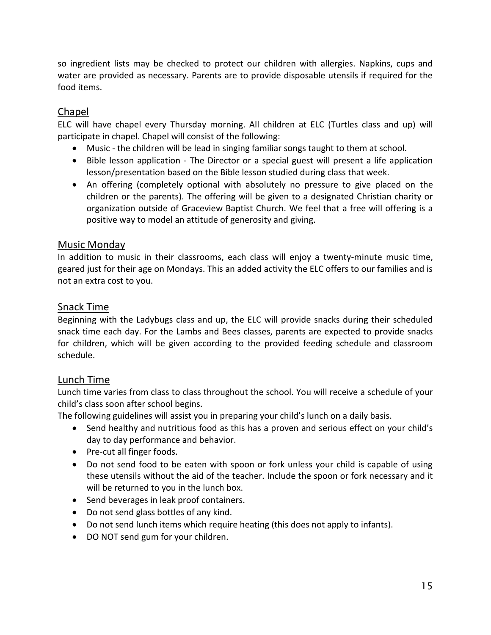so ingredient lists may be checked to protect our children with allergies. Napkins, cups and water are provided as necessary. Parents are to provide disposable utensils if required for the food items.

#### Chapel

ELC will have chapel every Thursday morning. All children at ELC (Turtles class and up) will participate in chapel. Chapel will consist of the following:

- Music the children will be lead in singing familiar songs taught to them at school.
- Bible lesson application The Director or a special guest will present a life application lesson/presentation based on the Bible lesson studied during class that week.
- An offering (completely optional with absolutely no pressure to give placed on the children or the parents). The offering will be given to a designated Christian charity or organization outside of Graceview Baptist Church. We feel that a free will offering is a positive way to model an attitude of generosity and giving.

#### Music Monday

In addition to music in their classrooms, each class will enjoy a twenty-minute music time, geared just for their age on Mondays. This an added activity the ELC offers to our families and is not an extra cost to you.

#### Snack Time

Beginning with the Ladybugs class and up, the ELC will provide snacks during their scheduled snack time each day. For the Lambs and Bees classes, parents are expected to provide snacks for children, which will be given according to the provided feeding schedule and classroom schedule.

#### Lunch Time

Lunch time varies from class to class throughout the school. You will receive a schedule of your child's class soon after school begins.

The following guidelines will assist you in preparing your child's lunch on a daily basis.

- Send healthy and nutritious food as this has a proven and serious effect on your child's day to day performance and behavior.
- Pre-cut all finger foods.
- Do not send food to be eaten with spoon or fork unless your child is capable of using these utensils without the aid of the teacher. Include the spoon or fork necessary and it will be returned to you in the lunch box.
- Send beverages in leak proof containers.
- Do not send glass bottles of any kind.
- Do not send lunch items which require heating (this does not apply to infants).
- DO NOT send gum for your children.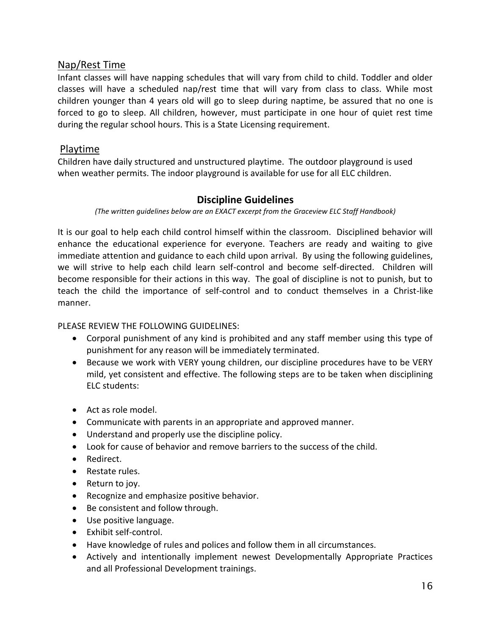#### Nap/Rest Time

Infant classes will have napping schedules that will vary from child to child. Toddler and older classes will have a scheduled nap/rest time that will vary from class to class. While most children younger than 4 years old will go to sleep during naptime, be assured that no one is forced to go to sleep. All children, however, must participate in one hour of quiet rest time during the regular school hours. This is a State Licensing requirement.

#### Playtime

Children have daily structured and unstructured playtime. The outdoor playground is used when weather permits. The indoor playground is available for use for all ELC children.

#### **Discipline Guidelines**

*(The written guidelines below are an EXACT excerpt from the Graceview ELC Staff Handbook)*

It is our goal to help each child control himself within the classroom. Disciplined behavior will enhance the educational experience for everyone. Teachers are ready and waiting to give immediate attention and guidance to each child upon arrival. By using the following guidelines, we will strive to help each child learn self-control and become self-directed. Children will become responsible for their actions in this way. The goal of discipline is not to punish, but to teach the child the importance of self-control and to conduct themselves in a Christ-like manner.

#### PLEASE REVIEW THE FOLLOWING GUIDELINES:

- Corporal punishment of any kind is prohibited and any staff member using this type of punishment for any reason will be immediately terminated.
- Because we work with VERY young children, our discipline procedures have to be VERY mild, yet consistent and effective. The following steps are to be taken when disciplining ELC students:
- Act as role model.
- Communicate with parents in an appropriate and approved manner.
- Understand and properly use the discipline policy.
- Look for cause of behavior and remove barriers to the success of the child.
- Redirect.
- Restate rules.
- Return to joy.
- Recognize and emphasize positive behavior.
- Be consistent and follow through.
- Use positive language.
- Exhibit self-control.
- Have knowledge of rules and polices and follow them in all circumstances.
- Actively and intentionally implement newest Developmentally Appropriate Practices and all Professional Development trainings.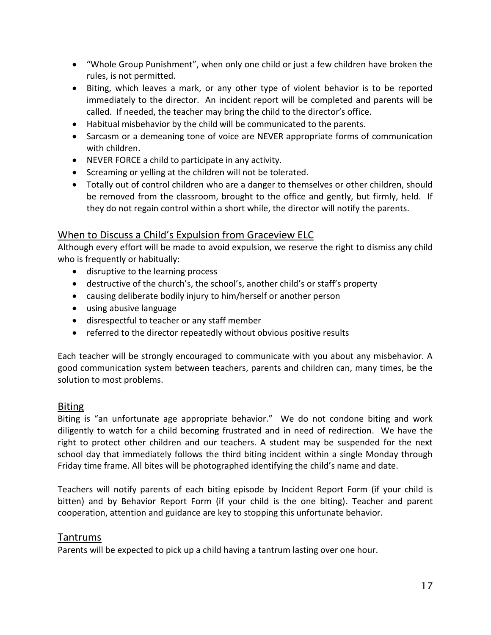- "Whole Group Punishment", when only one child or just a few children have broken the rules, is not permitted.
- Biting, which leaves a mark, or any other type of violent behavior is to be reported immediately to the director. An incident report will be completed and parents will be called. If needed, the teacher may bring the child to the director's office.
- Habitual misbehavior by the child will be communicated to the parents.
- Sarcasm or a demeaning tone of voice are NEVER appropriate forms of communication with children.
- NEVER FORCE a child to participate in any activity.
- Screaming or yelling at the children will not be tolerated.
- Totally out of control children who are a danger to themselves or other children, should be removed from the classroom, brought to the office and gently, but firmly, held. If they do not regain control within a short while, the director will notify the parents.

#### When to Discuss a Child's Expulsion from Graceview ELC

Although every effort will be made to avoid expulsion, we reserve the right to dismiss any child who is frequently or habitually:

- disruptive to the learning process
- destructive of the church's, the school's, another child's or staff's property
- causing deliberate bodily injury to him/herself or another person
- using abusive language
- disrespectful to teacher or any staff member
- referred to the director repeatedly without obvious positive results

Each teacher will be strongly encouraged to communicate with you about any misbehavior. A good communication system between teachers, parents and children can, many times, be the solution to most problems.

#### Biting

Biting is "an unfortunate age appropriate behavior." We do not condone biting and work diligently to watch for a child becoming frustrated and in need of redirection. We have the right to protect other children and our teachers. A student may be suspended for the next school day that immediately follows the third biting incident within a single Monday through Friday time frame. All bites will be photographed identifying the child's name and date.

Teachers will notify parents of each biting episode by Incident Report Form (if your child is bitten) and by Behavior Report Form (if your child is the one biting). Teacher and parent cooperation, attention and guidance are key to stopping this unfortunate behavior.

#### Tantrums

Parents will be expected to pick up a child having a tantrum lasting over one hour.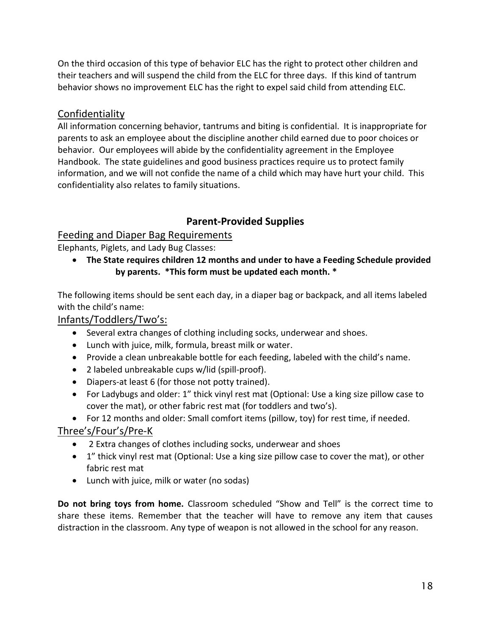On the third occasion of this type of behavior ELC has the right to protect other children and their teachers and will suspend the child from the ELC for three days. If this kind of tantrum behavior shows no improvement ELC has the right to expel said child from attending ELC.

#### Confidentiality

All information concerning behavior, tantrums and biting is confidential. It is inappropriate for parents to ask an employee about the discipline another child earned due to poor choices or behavior. Our employees will abide by the confidentiality agreement in the Employee Handbook. The state guidelines and good business practices require us to protect family information, and we will not confide the name of a child which may have hurt your child. This confidentiality also relates to family situations.

### **Parent-Provided Supplies**

#### Feeding and Diaper Bag Requirements

Elephants, Piglets, and Lady Bug Classes:

 **The State requires children 12 months and under to have a Feeding Schedule provided by parents. \*This form must be updated each month. \***

The following items should be sent each day, in a diaper bag or backpack, and all items labeled with the child's name:

Infants/Toddlers/Two's:

- Several extra changes of clothing including socks, underwear and shoes.
- Lunch with juice, milk, formula, breast milk or water.
- Provide a clean unbreakable bottle for each feeding, labeled with the child's name.
- 2 labeled unbreakable cups w/lid (spill-proof).
- Diapers-at least 6 (for those not potty trained).
- For Ladybugs and older: 1" thick vinyl rest mat (Optional: Use a king size pillow case to cover the mat), or other fabric rest mat (for toddlers and two's).
- For 12 months and older: Small comfort items (pillow, toy) for rest time, if needed.

Three's/Four's/Pre-K

- 2 Extra changes of clothes including socks, underwear and shoes
- 1" thick vinyl rest mat (Optional: Use a king size pillow case to cover the mat), or other fabric rest mat
- Lunch with juice, milk or water (no sodas)

**Do not bring toys from home.** Classroom scheduled "Show and Tell" is the correct time to share these items. Remember that the teacher will have to remove any item that causes distraction in the classroom. Any type of weapon is not allowed in the school for any reason.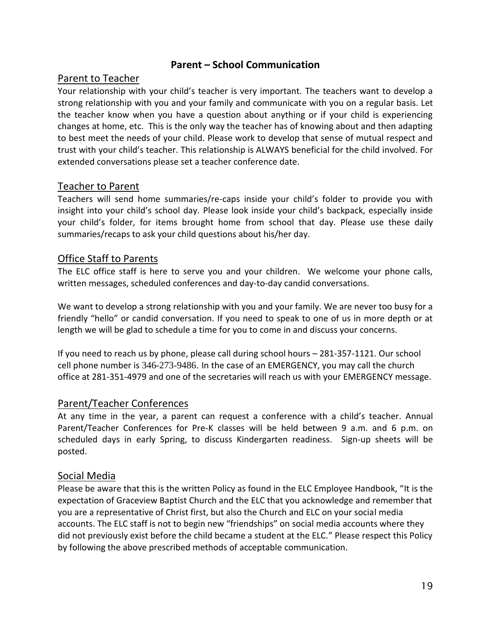#### **Parent – School Communication**

#### Parent to Teacher

Your relationship with your child's teacher is very important. The teachers want to develop a strong relationship with you and your family and communicate with you on a regular basis. Let the teacher know when you have a question about anything or if your child is experiencing changes at home, etc. This is the only way the teacher has of knowing about and then adapting to best meet the needs of your child. Please work to develop that sense of mutual respect and trust with your child's teacher. This relationship is ALWAYS beneficial for the child involved. For extended conversations please set a teacher conference date.

#### Teacher to Parent

Teachers will send home summaries/re-caps inside your child's folder to provide you with insight into your child's school day. Please look inside your child's backpack, especially inside your child's folder, for items brought home from school that day. Please use these daily summaries/recaps to ask your child questions about his/her day.

#### Office Staff to Parents

The ELC office staff is here to serve you and your children. We welcome your phone calls, written messages, scheduled conferences and day-to-day candid conversations.

We want to develop a strong relationship with you and your family. We are never too busy for a friendly "hello" or candid conversation. If you need to speak to one of us in more depth or at length we will be glad to schedule a time for you to come in and discuss your concerns.

If you need to reach us by phone, please call during school hours – 281-357-1121. Our school cell phone number is 346-273-9486. In the case of an EMERGENCY, you may call the church office at 281-351-4979 and one of the secretaries will reach us with your EMERGENCY message.

#### Parent/Teacher Conferences

At any time in the year, a parent can request a conference with a child's teacher. Annual Parent/Teacher Conferences for Pre-K classes will be held between 9 a.m. and 6 p.m. on scheduled days in early Spring, to discuss Kindergarten readiness. Sign-up sheets will be posted.

#### Social Media

Please be aware that this is the written Policy as found in the ELC Employee Handbook, "It is the expectation of Graceview Baptist Church and the ELC that you acknowledge and remember that you are a representative of Christ first, but also the Church and ELC on your social media accounts. The ELC staff is not to begin new "friendships" on social media accounts where they did not previously exist before the child became a student at the ELC." Please respect this Policy by following the above prescribed methods of acceptable communication.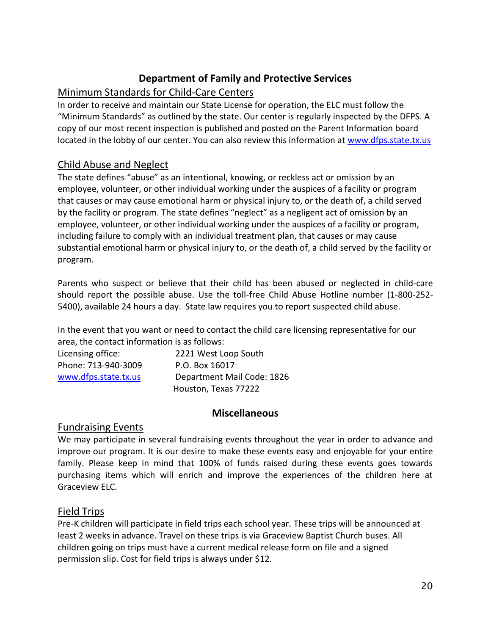#### **Department of Family and Protective Services**

#### Minimum Standards for Child-Care Centers

In order to receive and maintain our State License for operation, the ELC must follow the "Minimum Standards" as outlined by the state. Our center is regularly inspected by the DFPS. A copy of our most recent inspection is published and posted on the Parent Information board located in the lobby of our center. You can also review this information at [www.dfps.state.tx.us](http://www.dfps.state.tx.us/)

#### Child Abuse and Neglect

The state defines "abuse" as an intentional, knowing, or reckless act or omission by an employee, volunteer, or other individual working under the auspices of a facility or program that causes or may cause emotional harm or physical injury to, or the death of, a child served by the facility or program. The state defines "neglect" as a negligent act of omission by an employee, volunteer, or other individual working under the auspices of a facility or program, including failure to comply with an individual treatment plan, that causes or may cause substantial emotional harm or physical injury to, or the death of, a child served by the facility or program.

Parents who suspect or believe that their child has been abused or neglected in child-care should report the possible abuse. Use the toll-free Child Abuse Hotline number (1-800-252- 5400), available 24 hours a day. State law requires you to report suspected child abuse.

In the event that you want or need to contact the child care licensing representative for our area, the contact information is as follows:

| Licensing office:    | 2221 West Loop South       |
|----------------------|----------------------------|
| Phone: 713-940-3009  | P.O. Box 16017             |
| www.dfps.state.tx.us | Department Mail Code: 1826 |
|                      | Houston, Texas 77222       |

#### **Miscellaneous**

#### Fundraising Events

We may participate in several fundraising events throughout the year in order to advance and improve our program. It is our desire to make these events easy and enjoyable for your entire family. Please keep in mind that 100% of funds raised during these events goes towards purchasing items which will enrich and improve the experiences of the children here at Graceview ELC.

#### Field Trips

Pre-K children will participate in field trips each school year. These trips will be announced at least 2 weeks in advance. Travel on these trips is via Graceview Baptist Church buses. All children going on trips must have a current medical release form on file and a signed permission slip. Cost for field trips is always under \$12.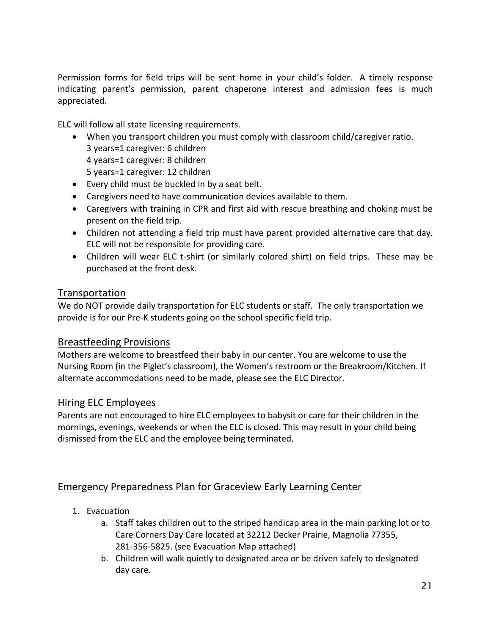Permission forms for field trips will be sent home in your child's folder. A timely response indicating parent's permission, parent chaperone interest and admission fees is much appreciated.

ELC will follow all state licensing requirements.

- When you transport children you must comply with classroom child/caregiver ratio. 3 years=1 caregiver: 6 children 4 years=1 caregiver: 8 children 5 years=1 caregiver: 12 children
- Every child must be buckled in by a seat belt.
- Caregivers need to have communication devices available to them.
- Caregivers with training in CPR and first aid with rescue breathing and choking must be present on the field trip.
- Children not attending a field trip must have parent provided alternative care that day. ELC will not be responsible for providing care.
- Children will wear ELC t-shirt (or similarly colored shirt) on field trips. These may be purchased at the front desk.

#### **Transportation**

We do NOT provide daily transportation for ELC students or staff. The only transportation we provide is for our Pre-K students going on the school specific field trip.

#### Breastfeeding Provisions

Mothers are welcome to breastfeed their baby in our center. You are welcome to use the Nursing Room (in the Piglet's classroom), the Women's restroom or the Breakroom/Kitchen. If alternate accommodations need to be made, please see the ELC Director.

#### Hiring ELC Employees

Parents are not encouraged to hire ELC employees to babysit or care for their children in the mornings, evenings, weekends or when the ELC is closed. This may result in your child being dismissed from the ELC and the employee being terminated.

#### Emergency Preparedness Plan for Graceview Early Learning Center

- 1. Evacuation
	- a. Staff takes children out to the striped handicap area in the main parking lot or to Care Corners Day Care located at 32212 Decker Prairie, Magnolia 77355, 281-356-5825. (see Evacuation Map attached)
	- b. Children will walk quietly to designated area or be driven safely to designated day care.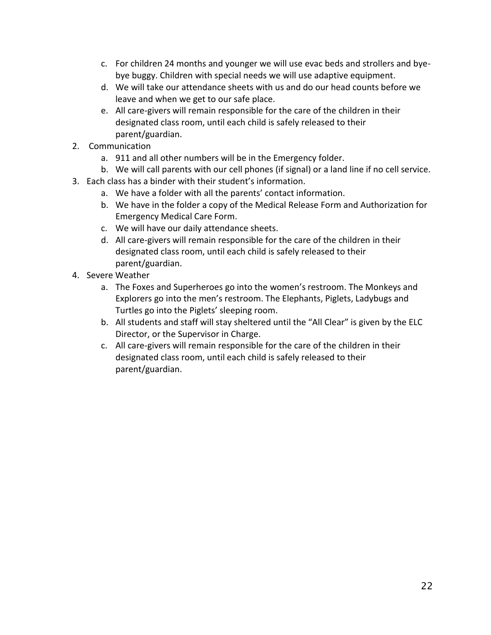- c. For children 24 months and younger we will use evac beds and strollers and byebye buggy. Children with special needs we will use adaptive equipment.
- d. We will take our attendance sheets with us and do our head counts before we leave and when we get to our safe place.
- e. All care-givers will remain responsible for the care of the children in their designated class room, until each child is safely released to their parent/guardian.
- 2. Communication
	- a. 911 and all other numbers will be in the Emergency folder.
	- b. We will call parents with our cell phones (if signal) or a land line if no cell service.
- 3. Each class has a binder with their student's information.
	- a. We have a folder with all the parents' contact information.
	- b. We have in the folder a copy of the Medical Release Form and Authorization for Emergency Medical Care Form.
	- c. We will have our daily attendance sheets.
	- d. All care-givers will remain responsible for the care of the children in their designated class room, until each child is safely released to their parent/guardian.
- 4. Severe Weather
	- a. The Foxes and Superheroes go into the women's restroom. The Monkeys and Explorers go into the men's restroom. The Elephants, Piglets, Ladybugs and Turtles go into the Piglets' sleeping room.
	- b. All students and staff will stay sheltered until the "All Clear" is given by the ELC Director, or the Supervisor in Charge.
	- c. All care-givers will remain responsible for the care of the children in their designated class room, until each child is safely released to their parent/guardian.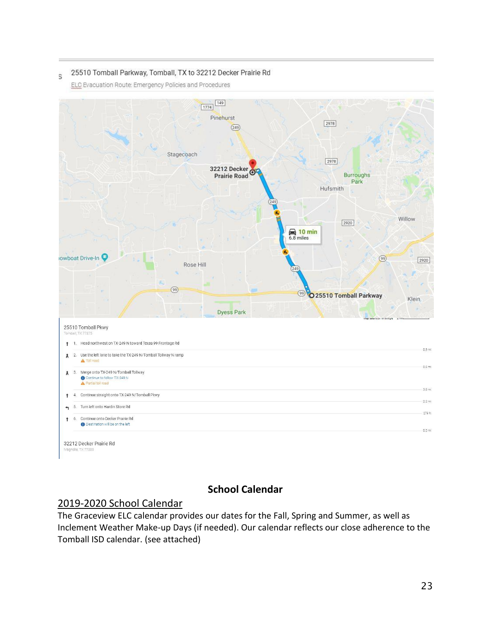#### 25510 Tomball Parkway, Tomball, TX to 32212 Decker Prairie Rd S

ELC Evacuation Route: Emergency Policies and Procedures



#### **School Calendar**

#### 2019-2020 School Calendar

The Graceview ELC calendar provides our dates for the Fall, Spring and Summer, as well as Inclement Weather Make-up Days (if needed). Our calendar reflects our close adherence to the Tomball ISD calendar. (see attached)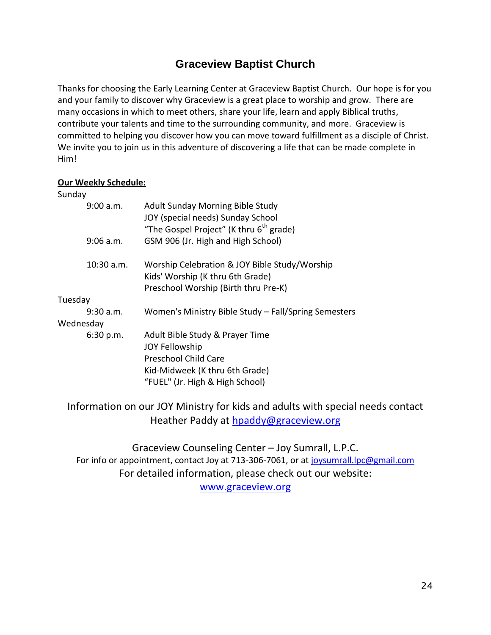### **Graceview Baptist Church**

Thanks for choosing the Early Learning Center at Graceview Baptist Church. Our hope is for you and your family to discover why Graceview is a great place to worship and grow. There are many occasions in which to meet others, share your life, learn and apply Biblical truths, contribute your talents and time to the surrounding community, and more. Graceview is committed to helping you discover how you can move toward fulfillment as a disciple of Christ. We invite you to join us in this adventure of discovering a life that can be made complete in Him!

#### **Our Weekly Schedule:**

| Sunday       |                                                                                                                           |  |
|--------------|---------------------------------------------------------------------------------------------------------------------------|--|
| 9:00 a.m.    | <b>Adult Sunday Morning Bible Study</b><br>JOY (special needs) Sunday School                                              |  |
|              | "The Gospel Project" (K thru 6 <sup>th</sup> grade)                                                                       |  |
| $9:06$ a.m.  | GSM 906 (Jr. High and High School)                                                                                        |  |
| $10:30$ a.m. | Worship Celebration & JOY Bible Study/Worship<br>Kids' Worship (K thru 6th Grade)<br>Preschool Worship (Birth thru Pre-K) |  |
| Tuesday      |                                                                                                                           |  |
| $9:30$ a.m.  | Women's Ministry Bible Study - Fall/Spring Semesters                                                                      |  |
| Wednesday    |                                                                                                                           |  |
| 6:30 p.m.    | Adult Bible Study & Prayer Time<br><b>JOY Fellowship</b>                                                                  |  |
|              | <b>Preschool Child Care</b>                                                                                               |  |
|              | Kid-Midweek (K thru 6th Grade)                                                                                            |  |
|              | "FUEL" (Jr. High & High School)                                                                                           |  |

Information on our JOY Ministry for kids and adults with special needs contact Heather Paddy at [hpaddy@graceview.org](mailto:hpaddy@graceview.org)

Graceview Counseling Center – Joy Sumrall, L.P.C. For info or appointment, contact Joy at 713-306-7061, or at [joysumrall.lpc@gmail.com](mailto:joysumrall.lpc@gmail.com) For detailed information, please check out our website: [www.graceview.org](http://www.graceview.org/)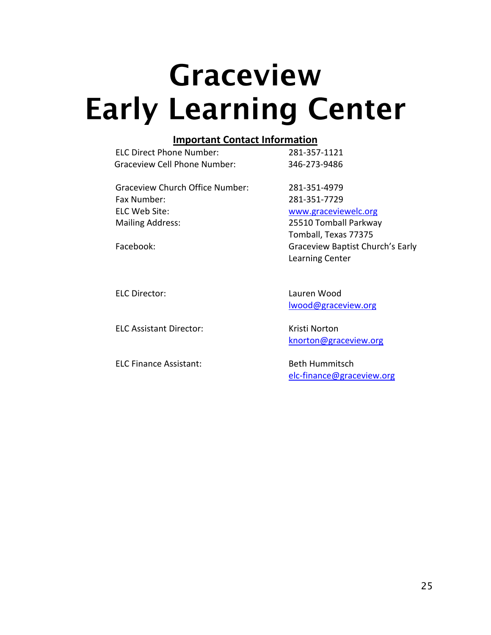### **Graceview Early Learning Center**

#### **Important Contact Information**

| <b>ELC Direct Phone Number:</b> | 281-357-1121 |
|---------------------------------|--------------|
| Graceview Cell Phone Number:    | 346-273-9486 |

Graceview Church Office Number: 281-351-4979 Fax Number: 281-351-7729 ELC Web Site: [www.graceviewelc.org](http://www.graceviewelc.org/) Mailing Address: 25510 Tomball Parkway

Tomball, Texas 77375 Facebook: Graceview Baptist Church's Early Learning Center

ELC Assistant Director: Kristi Norton

ELC Finance Assistant: Beth Hummitsch

ELC Director: Lauren Wood [lwood@graceview.org](mailto:lwood@graceview.org)

[knorton@graceview.org](mailto:knorton@graceview.org)

[elc-finance@graceview.org](mailto:elc-finance@graceview.org)